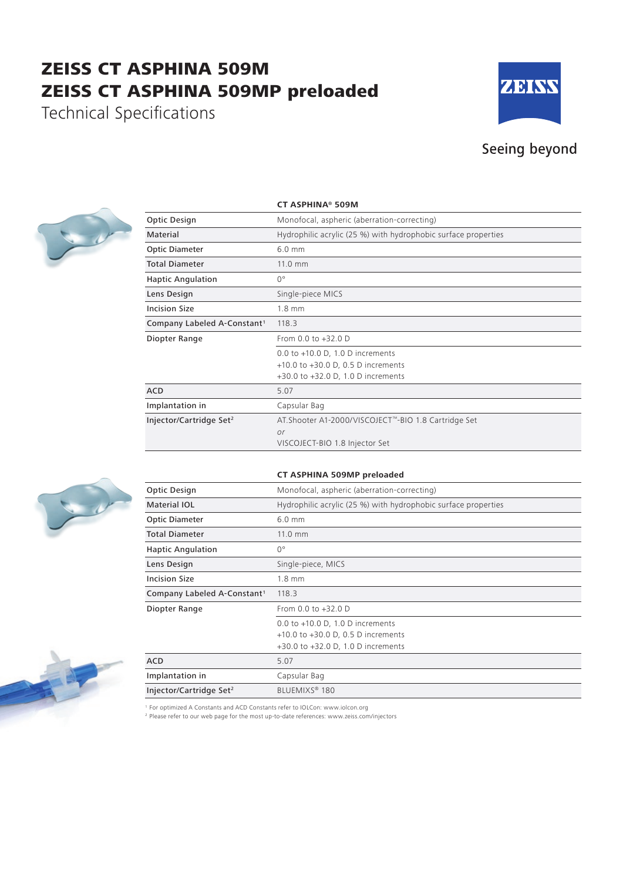## ZEISS CT ASPHINA 509M ZEISS CT ASPHINA 509MP preloaded

Technical Specifications



## Seeing beyond



|                                         | <b>CT ASPHINA® 509M</b>                                        |
|-----------------------------------------|----------------------------------------------------------------|
| Optic Design                            | Monofocal, aspheric (aberration-correcting)                    |
| Material                                | Hydrophilic acrylic (25 %) with hydrophobic surface properties |
| <b>Optic Diameter</b>                   | $6.0$ mm                                                       |
| <b>Total Diameter</b>                   | $11.0 \text{ mm}$                                              |
| <b>Haptic Angulation</b>                | $0^{\circ}$                                                    |
| Lens Design                             | Single-piece MICS                                              |
| <b>Incision Size</b>                    | 1.8 mm                                                         |
| Company Labeled A-Constant <sup>1</sup> | 118.3                                                          |
| Diopter Range                           | From 0.0 to +32.0 D                                            |
|                                         | 0.0 to $+10.0$ D, 1.0 D increments                             |
|                                         | +10.0 to +30.0 D, 0.5 D increments                             |
|                                         | +30.0 to +32.0 D, 1.0 D increments                             |
| <b>ACD</b>                              | 5.07                                                           |
| Implantation in                         | Capsular Bag                                                   |
| Injector/Cartridge Set <sup>2</sup>     | AT. Shooter A1-2000/VISCOJECT™-BIO 1.8 Cartridge Set           |
|                                         | or                                                             |
|                                         | VISCOJECT-BIO 1.8 Injector Set                                 |



## **CT ASPHINA 509MP preloaded**

| Optic Design                            | Monofocal, aspheric (aberration-correcting)                              |
|-----------------------------------------|--------------------------------------------------------------------------|
| <b>Material IOL</b>                     | Hydrophilic acrylic (25 %) with hydrophobic surface properties           |
| <b>Optic Diameter</b>                   | $6.0$ mm                                                                 |
| <b>Total Diameter</b>                   | 11.0 mm                                                                  |
| <b>Haptic Angulation</b>                | $0^{\circ}$                                                              |
| Lens Design                             | Single-piece, MICS                                                       |
| <b>Incision Size</b>                    | $1.8$ mm                                                                 |
| Company Labeled A-Constant <sup>1</sup> | 118.3                                                                    |
| Diopter Range                           | From 0.0 to +32.0 D                                                      |
|                                         | 0.0 to $+10.0$ D, 1.0 D increments<br>+10.0 to +30.0 D, 0.5 D increments |
|                                         | +30.0 to +32.0 D, 1.0 D increments                                       |
| <b>ACD</b>                              | 5.07                                                                     |
| Implantation in                         | Capsular Bag                                                             |
| Injector/Cartridge Set <sup>2</sup>     | BLUEMIXS <sup>®</sup> 180                                                |

<sup>1</sup> For optimized A Constants and ACD Constants refer to IOLCon: www.iolcon.org

<sup>2</sup> Please refer to our web page for the most up-to-date references: www.zeiss.com/injectors